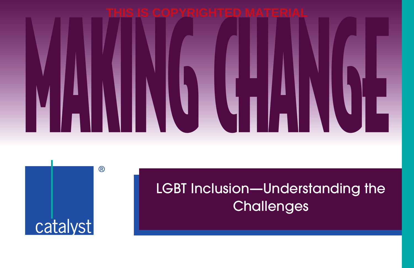



# LGBT Inclusion—Understanding the **Challenges**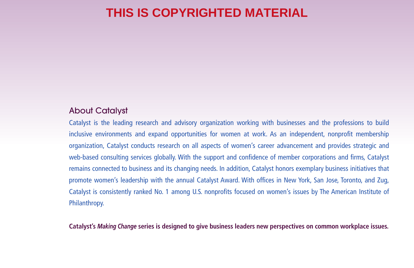#### About Catalyst

Catalyst is the leading research and advisory organization working with businesses and the professions to build inclusive environments and expand opportunities for women at work. As an independent, nonprofit membership organization, Catalyst conducts research on all aspects of women's career advancement and provides strategic and web-based consulting services globally. With the support and confidence of member corporations and firms, Catalyst remains connected to business and its changing needs. In addition, Catalyst honors exemplary business initiatives that promote women's leadership with the annual Catalyst Award. With offices in New York, San Jose, Toronto, and Zug, Catalyst is consistently ranked No. 1 among U.S. nonprofits focused on women's issues by The American Institute of Philanthropy.

**Catalyst's** *Making Change* **series is designed to give business leaders new perspectives on common workplace issues.**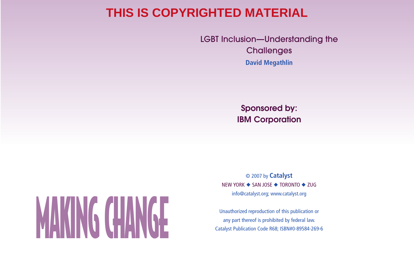LGBT Inclusion—Understanding the **Challenges David Megathlin**

> **Sponsored by: IBM Corporation**

# any part thereof is prohibited by federal law.<br>
Catalyst Publication Code R68; ISBN#0-89584-269-6 **Catalyst Publication Code R68**; ISBN#0-89584-269-6

© 2007 by **Catalyst** NEW YORK ◆ SAN JOSE ◆ TORONTO ◆ ZUG info@catalyst.org; www.catalyst.org

Unauthorized reproduction of this publication or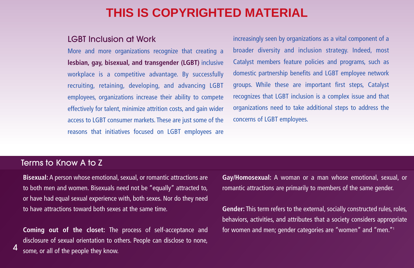#### LGBT Inclusion at Work

More and more organizations recognize that creating a **lesbian, gay, bisexual, and transgender (LGBT)** inclusive workplace is a competitive advantage. By successfully recruiting, retaining, developing, and advancing LGBT employees, organizations increase their ability to compete effectively for talent, minimize attrition costs, and gain wider access to LGBT consumer markets. These are just some of the reasons that initiatives focused on LGBT employees are

increasingly seen by organizations as a vital component of a broader diversity and inclusion strategy. Indeed, most Catalyst members feature policies and programs, such as domestic partnership benefits and LGBT employee network groups. While these are important first steps, Catalyst recognizes that LGBT inclusion is a complex issue and that organizations need to take additional steps to address the concerns of LGBT employees.

#### Terms to Know A to Z

4

**Bisexual:** A person whose emotional, sexual, or romantic attractions are to both men and women. Bisexuals need not be "equally" attracted to, or have had equal sexual experience with, both sexes. Nor do they need to have attractions toward both sexes at the same time.

**Coming out of the closet:** The process of self-acceptance and disclosure of sexual orientation to others. People can disclose to none, some, or all of the people they know.

**Gay/Homosexual:** A woman or a man whose emotional, sexual, or romantic attractions are primarily to members of the same gender.

**Gender:** This term refers to the external, socially constructed rules, roles, behaviors, activities, and attributes that a society considers appropriate for women and men; gender categories are "women" and "men."1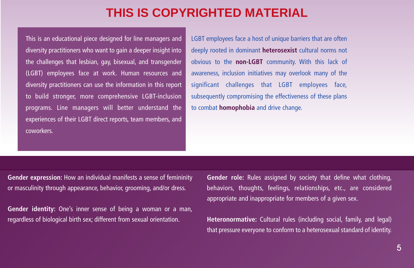This is an educational piece designed for line managers and diversity practitioners who want to gain a deeper insight into the challenges that lesbian, gay, bisexual, and transgender (LGBT) employees face at work. Human resources and diversity practitioners can use the information in this report to build stronger, more comprehensive LGBT-inclusion programs. Line managers will better understand the experiences of their LGBT direct reports, team members, and coworkers.

LGBT employees face a host of unique barriers that are often deeply rooted in dominant **heterosexist** cultural norms not obvious to the **non-LGBT** community. With this lack of awareness, inclusion initiatives may overlook many of the significant challenges that LGBT employees face, subsequently compromising the effectiveness of these plans to combat **homophobia** and drive change.

**Gender expression:** How an individual manifests a sense of femininity or masculinity through appearance, behavior, grooming, and/or dress.

**Gender identity:** One's inner sense of being a woman or a man, regardless of biological birth sex; different from sexual orientation.

**Gender role:** Rules assigned by society that define what clothing, behaviors, thoughts, feelings, relationships, etc., are considered appropriate and inappropriate for members of a given sex.

**Heteronormative:** Cultural rules (including social, family, and legal) that pressure everyone to conform to a heterosexual standard of identity.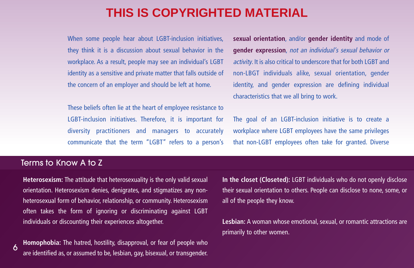When some people hear about LGBT-inclusion initiatives, they think it is a discussion about sexual behavior in the workplace. As a result, people may see an individual's LGBT identity as a sensitive and private matter that falls outside of the concern of an employer and should be left at home.

These beliefs often lie at the heart of employee resistance to LGBT-inclusion initiatives. Therefore, it is important for diversity practitioners and managers to accurately communicate that the term "LGBT" refers to a person's **sexual orientation**, and/or **gender identity** and mode of **gender expression**, not an individual's sexual behavior or activity. It is also critical to underscore that for both LGBT and non-LBGT individuals alike, sexual orientation, gender identity, and gender expression are defining individual characteristics that we all bring to work.

The goal of an LGBT-inclusion initiative is to create a workplace where LGBT employees have the same privileges that non-LGBT employees often take for granted. Diverse

#### Terms to Know A to Z

6

**Heterosexism:** The attitude that heterosexuality is the only valid sexual orientation. Heterosexism denies, denigrates, and stigmatizes any nonheterosexual form of behavior, relationship, or community. Heterosexism often takes the form of ignoring or discriminating against LGBT individuals or discounting their experiences altogether.

**Homophobia:** The hatred, hostility, disapproval, or fear of people who are identified as, or assumed to be, lesbian, gay, bisexual, or transgender. **In the closet (Closeted):** LGBT individuals who do not openly disclose their sexual orientation to others. People can disclose to none, some, or all of the people they know.

**Lesbian:** A woman whose emotional, sexual, or romantic attractions are primarily to other women.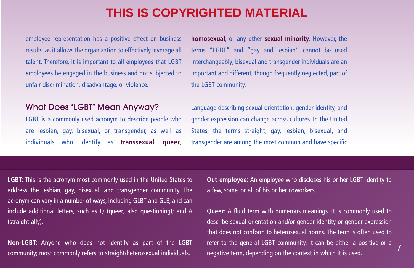employee representation has a positive effect on business results, as it allows the organization to effectively leverage all talent. Therefore, it is important to all employees that LGBT employees be engaged in the business and not subjected to unfair discrimination, disadvantage, or violence.

#### What Does "LGBT" Mean Anyway?

LGBT is a commonly used acronym to describe people who are lesbian, gay, bisexual, or transgender, as well as individuals who identify as **transsexual**, **queer**,

**homosexual**, or any other **sexual minority**. However, the terms "LGBT" and "gay and lesbian" cannot be used interchangeably; bisexual and transgender individuals are an important and different, though frequently neglected, part of the LGBT community.

Language describing sexual orientation, gender identity, and gender expression can change across cultures. In the United States, the terms straight, gay, lesbian, bisexual, and transgender are among the most common and have specific

**LGBT:** This is the acronym most commonly used in the United States to address the lesbian, gay, bisexual, and transgender community. The acronym can vary in a number of ways, including GLBT and GLB, and can include additional letters, such as Q (queer; also questioning); and A (straight ally).

**Non-LGBT:** Anyone who does not identify as part of the LGBT community; most commonly refers to straight/heterosexual individuals.

**Out employee:** An employee who discloses his or her LGBT identity to a few, some, or all of his or her coworkers.

**Queer:** A fluid term with numerous meanings. It is commonly used to describe sexual orientation and/or gender identity or gender expression that does not conform to heterosexual norms. The term is often used to refer to the general LGBT community. It can be either a positive or a negative term, depending on the context in which it is used. <sup>7</sup>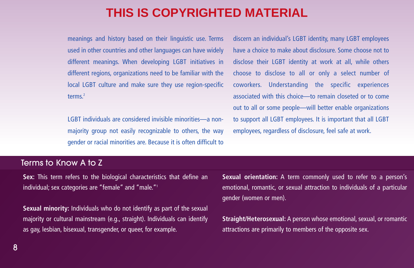meanings and history based on their linguistic use. Terms used in other countries and other languages can have widely different meanings. When developing LGBT initiatives in different regions, organizations need to be familiar with the local LGBT culture and make sure they use region-specific terms<sup>2</sup>

LGBT individuals are considered invisible minorities—a nonmajority group not easily recognizable to others, the way gender or racial minorities are. Because it is often difficult to

discern an individual's LGBT identity, many LGBT employees have a choice to make about disclosure. Some choose not to disclose their LGBT identity at work at all, while others choose to disclose to all or only a select number of coworkers. Understanding the specific experiences associated with this choice—to remain closeted or to come out to all or some people—will better enable organizations to support all LGBT employees. It is important that all LGBT employees, regardless of disclosure, feel safe at work.

#### Terms to Know A to Z

**Sex:** This term refers to the biological characteristics that define an individual; sex categories are "female" and "male."1

**Sexual minority:** Individuals who do not identify as part of the sexual majority or cultural mainstream (e.g., straight). Individuals can identify as gay, lesbian, bisexual, transgender, or queer, for example.

**Sexual orientation:** A term commonly used to refer to a person's emotional, romantic, or sexual attraction to individuals of a particular gender (women or men).

**Straight/Heterosexual:** A person whose emotional, sexual, or romantic attractions are primarily to members of the opposite sex.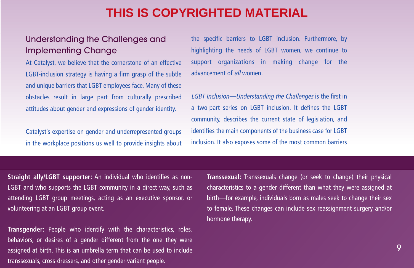#### Understanding the Challenges and Implementing Change

At Catalyst, we believe that the cornerstone of an effective LGBT-inclusion strategy is having a firm grasp of the subtle and unique barriers that LGBT employees face. Many of these obstacles result in large part from culturally prescribed attitudes about gender and expressions of gender identity.

Catalyst's expertise on gender and underrepresented groups in the workplace positions us well to provide insights about

the specific barriers to LGBT inclusion. Furthermore, by highlighting the needs of LGBT women, we continue to support organizations in making change for the advancement of all women.

LGBT Inclusion—Understanding the Challenges is the first in a two-part series on LGBT inclusion. It defines the LGBT community, describes the current state of legislation, and identifies the main components of the business case for LGBT inclusion. It also exposes some of the most common barriers

**Straight ally/LGBT supporter:** An individual who identifies as non-LGBT and who supports the LGBT community in a direct way, such as attending LGBT group meetings, acting as an executive sponsor, or volunteering at an LGBT group event.

**Transgender:** People who identify with the characteristics, roles, behaviors, or desires of a gender different from the one they were assigned at birth. This is an umbrella term that can be used to include transsexuals, cross-dressers, and other gender-variant people.

**Transsexual:** Transsexuals change (or seek to change) their physical characteristics to a gender different than what they were assigned at birth—for example, individuals born as males seek to change their sex to female. These changes can include sex reassignment surgery and/or hormone therapy.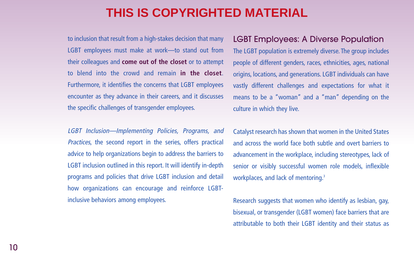to inclusion that result from a high-stakes decision that many LGBT employees must make at work—to stand out from their colleagues and **come out of the closet** or to attempt to blend into the crowd and remain **in the closet**. Furthermore, it identifies the concerns that LGBT employees encounter as they advance in their careers, and it discusses the specific challenges of transgender employees.

LGBT Inclusion—Implementing Policies, Programs, and Practices, the second report in the series, offers practical advice to help organizations begin to address the barriers to LGBT inclusion outlined in this report. It will identify in-depth programs and policies that drive LGBT inclusion and detail how organizations can encourage and reinforce LGBTinclusive behaviors among employees.

#### LGBT Employees: A Diverse Population

The LGBT population is extremely diverse. The group includes people of different genders, races, ethnicities, ages, national origins, locations, and generations. LGBT individuals can have vastly different challenges and expectations for what it means to be a "woman" and a "man" depending on the culture in which they live.

Catalyst research has shown that women in the United States and across the world face both subtle and overt barriers to advancement in the workplace, including stereotypes, lack of senior or visibly successful women role models, inflexible workplaces, and lack of mentoring.<sup>3</sup>

Research suggests that women who identify as lesbian, gay, bisexual, or transgender (LGBT women) face barriers that are attributable to both their LGBT identity and their status as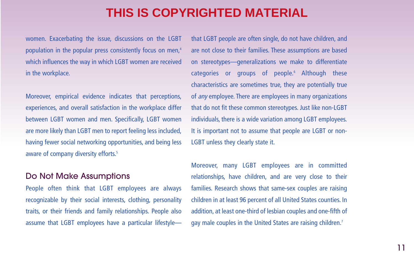women. Exacerbating the issue, discussions on the LGBT population in the popular press consistently focus on men,<sup>4</sup> which influences the way in which LGBT women are received in the workplace.

Moreover, empirical evidence indicates that perceptions, experiences, and overall satisfaction in the workplace differ between LGBT women and men. Specifically, LGBT women are more likely than LGBT men to report feeling less included, having fewer social networking opportunities, and being less aware of company diversity efforts.<sup>5</sup>

#### Do Not Make Assumptions

People often think that LGBT employees are always recognizable by their social interests, clothing, personality traits, or their friends and family relationships. People also assume that LGBT employees have a particular lifestylethat LGBT people are often single, do not have children, and are not close to their families. These assumptions are based on stereotypes—generalizations we make to differentiate categories or groups of people.<sup>6</sup> Although these characteristics are sometimes true, they are potentially true of any employee. There are employees in many organizations that do not fit these common stereotypes. Just like non-LGBT individuals, there is a wide variation among LGBT employees. It is important not to assume that people are LGBT or non-LGBT unless they clearly state it.

Moreover, many LGBT employees are in committed relationships, have children, and are very close to their families. Research shows that same-sex couples are raising children in at least 96 percent of all United States counties. In addition, at least one-third of lesbian couples and one-fifth of gay male couples in the United States are raising children.<sup>7</sup>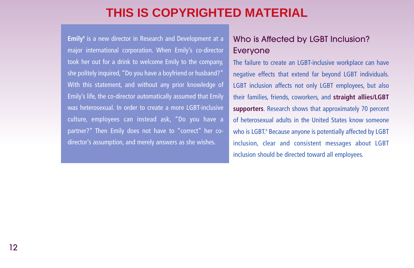Emily<sup>8</sup> is a new director in Research and Development at a major international corporation. When Emily's co-director took her out for a drink to welcome Emily to the company, she politely inquired, "Do you have a boyfriend or husband?" With this statement, and without any prior knowledge of Emily's life, the co-director automatically assumed that Emily was heterosexual. In order to create a more LGBT-inclusive culture, employees can instead ask, "Do you have a partner?" Then Emily does not have to "correct" her codirector's assumption, and merely answers as she wishes.

#### Who is Affected by LGBT Inclusion? Everyone

The failure to create an LGBT-inclusive workplace can have negative effects that extend far beyond LGBT individuals. LGBT inclusion affects not only LGBT employees, but also their families, friends, coworkers, and **straight allies/LGBT supporters**. Research shows that approximately 70 percent of heterosexual adults in the United States know someone who is LGBT.<sup>9</sup> Because anyone is potentially affected by LGBT inclusion, clear and consistent messages about LGBT inclusion should be directed toward all employees.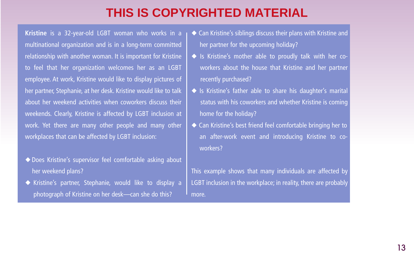**Kristine** is a 32-year-old LGBT woman who works in a multinational organization and is in a long-term committed relationship with another woman. It is important for Kristine to feel that her organization welcomes her as an LGBT employee. At work, Kristine would like to display pictures of her partner, Stephanie, at her desk. Kristine would like to talk about her weekend activities when coworkers discuss their weekends. Clearly, Kristine is affected by LGBT inclusion at work. Yet there are many other people and many other workplaces that can be affected by LGBT inclusion:

- ◆ Does Kristine's supervisor feel comfortable asking about her weekend plans?
- ◆ Kristine's partner, Stephanie, would like to display a photograph of Kristine on her desk—can she do this?
- ◆ Can Kristine's siblings discuss their plans with Kristine and her partner for the upcoming holiday?
- ◆ Is Kristine's mother able to proudly talk with her coworkers about the house that Kristine and her partner recently purchased?
- ◆ Is Kristine's father able to share his daughter's marital status with his coworkers and whether Kristine is coming home for the holiday?
- ◆ Can Kristine's best friend feel comfortable bringing her to an after-work event and introducing Kristine to coworkers?

This example shows that many individuals are affected by LGBT inclusion in the workplace; in reality, there are probably more.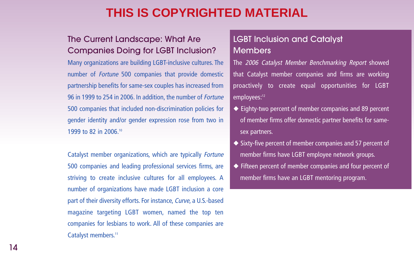#### The Current Landscape: What Are Companies Doing for LGBT Inclusion?

Many organizations are building LGBT-inclusive cultures. The number of Fortune 500 companies that provide domestic partnership benefits for same-sex couples has increased from 96 in 1999 to 254 in 2006. In addition, the number of Fortune 500 companies that included non-discrimination policies for gender identity and/or gender expression rose from two in 1999 to 82 in 2006.10

Catalyst member organizations, which are typically Fortune 500 companies and leading professional services firms, are striving to create inclusive cultures for all employees. A number of organizations have made LGBT inclusion a core part of their diversity efforts. For instance, Curve, a U.S.-based magazine targeting LGBT women, named the top ten companies for lesbians to work. All of these companies are Catalyst members.<sup>11</sup>

#### LGBT Inclusion and Catalyst **Members**

The 2006 Catalyst Member Benchmarking Report showed that Catalyst member companies and firms are working proactively to create equal opportunities for LGBT employees:<sup>12</sup>

- ◆ Eighty-two percent of member companies and 89 percent of member firms offer domestic partner benefits for samesex partners.
- ◆ Sixty-five percent of member companies and 57 percent of member firms have LGBT employee network groups.
- ◆ Fifteen percent of member companies and four percent of member firms have an LGBT mentoring program.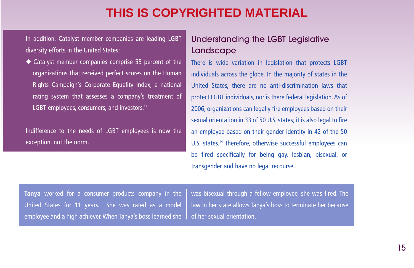In addition, Catalyst member companies are leading LGBT diversity efforts in the United States:

◆ Catalyst member companies comprise 55 percent of the organizations that received perfect scores on the Human Rights Campaign's Corporate Equality Index, a national rating system that assesses a company's treatment of LGBT employees, consumers, and investors.<sup>13</sup>

Indifference to the needs of LGBT employees is now the exception, not the norm.

#### Understanding the LGBT Legislative Landscape

There is wide variation in legislation that protects LGBT individuals across the globe. In the majority of states in the United States, there are no anti-discrimination laws that protect LGBT individuals, nor is there federal legislation. As of 2006, organizations can legally fire employees based on their sexual orientation in 33 of 50 U.S. states; it is also legal to fire an employee based on their gender identity in 42 of the 50 U.S. states.<sup>14</sup> Therefore, otherwise successful employees can be fired specifically for being gay, lesbian, bisexual, or transgender and have no legal recourse.

**Tanya** worked for a consumer products company in the United States for 11 years. She was rated as a model employee and a high achiever.When Tanya's boss learned she

was bisexual through a fellow employee, she was fired. The law in her state allows Tanya's boss to terminate her because of her sexual orientation.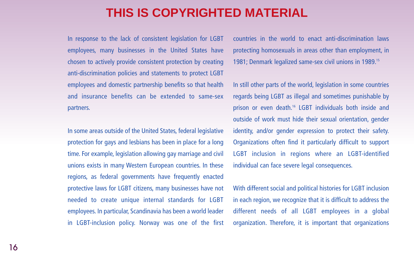In response to the lack of consistent legislation for LGBT employees, many businesses in the United States have chosen to actively provide consistent protection by creating anti-discrimination policies and statements to protect LGBT employees and domestic partnership benefits so that health and insurance benefits can be extended to same-sex partners.

In some areas outside of the United States, federal legislative protection for gays and lesbians has been in place for a long time. For example, legislation allowing gay marriage and civil unions exists in many Western European countries. In these regions, as federal governments have frequently enacted protective laws for LGBT citizens, many businesses have not needed to create unique internal standards for LGBT employees. In particular, Scandinavia has been a world leader in LGBT-inclusion policy. Norway was one of the first

countries in the world to enact anti-discrimination laws protecting homosexuals in areas other than employment, in 1981; Denmark legalized same-sex civil unions in 1989.15

In still other parts of the world, legislation in some countries regards being LGBT as illegal and sometimes punishable by prison or even death.<sup>16</sup> LGBT individuals both inside and outside of work must hide their sexual orientation, gender identity, and/or gender expression to protect their safety. Organizations often find it particularly difficult to support LGBT inclusion in regions where an LGBT-identified individual can face severe legal consequences.

With different social and political histories for LGBT inclusion in each region, we recognize that it is difficult to address the different needs of all LGBT employees in a global organization. Therefore, it is important that organizations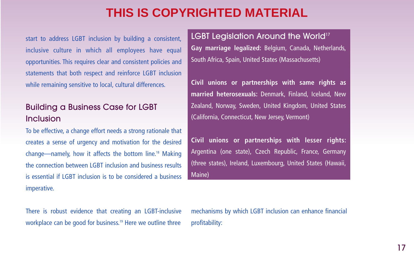start to address LGBT inclusion by building a consistent, inclusive culture in which all employees have equal opportunities. This requires clear and consistent policies and statements that both respect and reinforce LGBT inclusion while remaining sensitive to local, cultural differences.

#### Building a Business Case for LGBT Inclusion

To be effective, a change effort needs a strong rationale that creates a sense of urgency and motivation for the desired change—namely, how it affects the bottom line.18 Making the connection between LGBT inclusion and business results is essential if LGBT inclusion is to be considered a business imperative.

LGBT Legislation Around the World<sup>17</sup> **Gay marriage legalized:** Belgium, Canada, Netherlands, South Africa, Spain, United States (Massachusetts)

**Civil unions or partnerships with same rights as married heterosexuals:** Denmark, Finland, Iceland, New Zealand, Norway, Sweden, United Kingdom, United States (California, Connecticut, New Jersey, Vermont)

**Civil unions or partnerships with lesser rights:** Argentina (one state), Czech Republic, France, Germany (three states), Ireland, Luxembourg, United States (Hawaii, Maine)

There is robust evidence that creating an LGBT-inclusive workplace can be good for business.<sup>19</sup> Here we outline three

mechanisms by which LGBT inclusion can enhance financial profitability: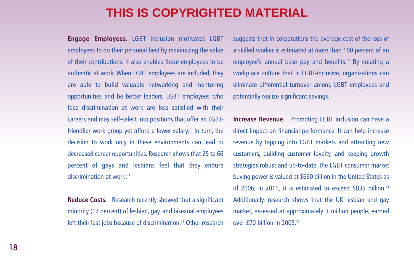**Engage Employees.** LGBT inclusion motivates LGBT employees to do their personal best by maximizing the value of their contributions. It also enables these employees to be authentic at work. When LGBT employees are included, they are able to build valuable networking and mentoring opportunities and be better leaders. LGBT employees who face discrimination at work are less satisfied with their careers and may self-select into positions that offer an LGBTfriendlier work-group yet afford a lower salary.<sup>20</sup> In turn, the decision to work only in these environments can lead to decreased career opportunities. Research shows that 25 to 66 percent of gays and lesbians feel that they endure discrimination at work.<sup>21</sup>

**Reduce Costs.** Research recently showed that a significant minority (12 percent) of lesbian, gay, and bisexual employees left their last jobs because of discrimination.<sup>22</sup> Other research

suggests that in corporations the average cost of the loss of a skilled worker is estimated at more than 100 percent of an employee's annual base pay and benefits.<sup>23</sup> By creating a workplace culture that is LGBT-inclusive, organizations can eliminate differential turnover among LGBT employees and potentially realize significant savings.

**Increase Revenue.** Promoting LGBT inclusion can have a direct impact on financial performance. It can help increase revenue by tapping into LGBT markets and attracting new customers, building customer loyalty, and keeping growth strategies robust and up-to-date. The LGBT consumer market buying power is valued at \$660 billion in the United States as of 2006; in 2011, it is estimated to exceed \$835 billion.<sup>24</sup> Additionally, research shows that the UK lesbian and gay market, assessed at approximately 3 million people, earned over £70 billion in 2005.25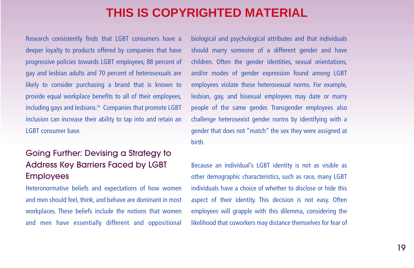Research consistently finds that LGBT consumers have a deeper loyalty to products offered by companies that have progressive policies towards LGBT employees; 88 percent of gay and lesbian adults and 70 percent of heterosexuals are likely to consider purchasing a brand that is known to provide equal workplace benefits to all of their employees, including gays and lesbians.<sup>26</sup> Companies that promote LGBT inclusion can increase their ability to tap into and retain an LGBT consumer base.

#### Going Further: Devising a Strategy to Address Key Barriers Faced by LGBT **Employees**

Heteronormative beliefs and expectations of how women and men should feel, think, and behave are dominant in most workplaces. These beliefs include the notions that women and men have essentially different and oppositional biological and psychological attributes and that individuals should marry someone of a different gender and have children. Often the gender identities, sexual orientations, and/or modes of gender expression found among LGBT employees violate these heterosexual norms. For example, lesbian, gay, and bisexual employees may date or marry people of the same gender. Transgender employees also challenge heterosexist gender norms by identifying with a gender that does not "match" the sex they were assigned at birth.

Because an individual's LGBT identity is not as visible as other demographic characteristics, such as race, many LGBT individuals have a choice of whether to disclose or hide this aspect of their identity. This decision is not easy. Often employees will grapple with this dilemma, considering the likelihood that coworkers may distance themselves for fear of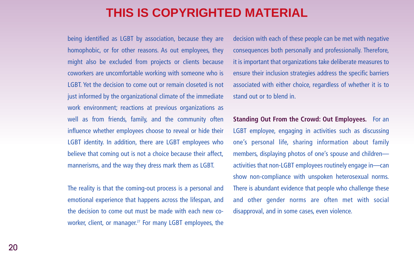being identified as LGBT by association, because they are homophobic, or for other reasons. As out employees, they might also be excluded from projects or clients because coworkers are uncomfortable working with someone who is LGBT. Yet the decision to come out or remain closeted is not just informed by the organizational climate of the immediate work environment; reactions at previous organizations as well as from friends, family, and the community often influence whether employees choose to reveal or hide their LGBT identity. In addition, there are LGBT employees who believe that coming out is not a choice because their affect, mannerisms, and the way they dress mark them as LGBT.

The reality is that the coming-out process is a personal and emotional experience that happens across the lifespan, and the decision to come out must be made with each new coworker, client, or manager.<sup>27</sup> For many LGBT employees, the

decision with each of these people can be met with negative consequences both personally and professionally. Therefore, it is important that organizations take deliberate measures to ensure their inclusion strategies address the specific barriers associated with either choice, regardless of whether it is to stand out or to blend in.

**Standing Out From the Crowd: Out Employees.** For an LGBT employee, engaging in activities such as discussing one's personal life, sharing information about family members, displaying photos of one's spouse and children activities that non-LGBT employees routinely engage in—can show non-compliance with unspoken heterosexual norms. There is abundant evidence that people who challenge these and other gender norms are often met with social disapproval, and in some cases, even violence.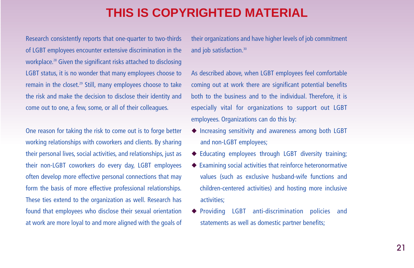Research consistently reports that one-quarter to two-thirds of LGBT employees encounter extensive discrimination in the workplace.<sup>28</sup> Given the significant risks attached to disclosing LGBT status, it is no wonder that many employees choose to remain in the closet.<sup>29</sup> Still, many employees choose to take the risk and make the decision to disclose their identity and come out to one, a few, some, or all of their colleagues.

One reason for taking the risk to come out is to forge better working relationships with coworkers and clients. By sharing their personal lives, social activities, and relationships, just as their non-LGBT coworkers do every day, LGBT employees often develop more effective personal connections that may form the basis of more effective professional relationships. These ties extend to the organization as well. Research has found that employees who disclose their sexual orientation at work are more loyal to and more aligned with the goals of their organizations and have higher levels of job commitment and job satisfaction.<sup>30</sup>

As described above, when LGBT employees feel comfortable coming out at work there are significant potential benefits both to the business and to the individual. Therefore, it is especially vital for organizations to support out LGBT employees. Organizations can do this by:

- ◆ Increasing sensitivity and awareness among both LGBT and non-LGBT employees;
- ◆ Educating employees through LGBT diversity training;
- ◆ Examining social activities that reinforce heteronormative values (such as exclusive husband-wife functions and children-centered activities) and hosting more inclusive activities;
- ◆ Providing LGBT anti-discrimination policies and statements as well as domestic partner benefits;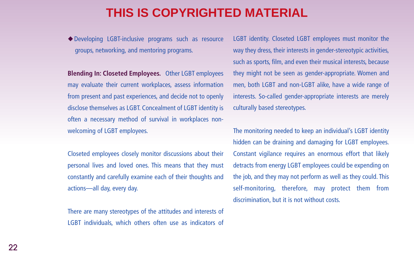◆Developing LGBT-inclusive programs such as resource groups, networking, and mentoring programs.

**Blending In: Closeted Employees.** Other LGBT employees may evaluate their current workplaces, assess information from present and past experiences, and decide not to openly disclose themselves as LGBT. Concealment of LGBT identity is often a necessary method of survival in workplaces nonwelcoming of LGBT employees.

Closeted employees closely monitor discussions about their personal lives and loved ones. This means that they must constantly and carefully examine each of their thoughts and actions—all day, every day.

There are many stereotypes of the attitudes and interests of LGBT individuals, which others often use as indicators of

LGBT identity. Closeted LGBT employees must monitor the way they dress, their interests in gender-stereotypic activities, such as sports, film, and even their musical interests, because they might not be seen as gender-appropriate. Women and men, both LGBT and non-LGBT alike, have a wide range of interests. So-called gender-appropriate interests are merely culturally based stereotypes.

The monitoring needed to keep an individual's LGBT identity hidden can be draining and damaging for LGBT employees. Constant vigilance requires an enormous effort that likely detracts from energy LGBT employees could be expending on the job, and they may not perform as well as they could. This self-monitoring, therefore, may protect them from discrimination, but it is not without costs.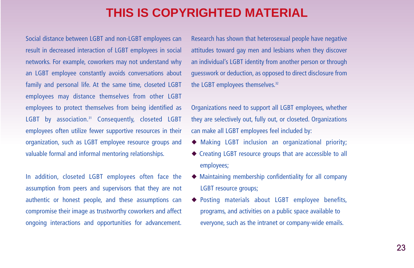Social distance between LGBT and non-LGBT employees can result in decreased interaction of LGBT employees in social networks. For example, coworkers may not understand why an LGBT employee constantly avoids conversations about family and personal life. At the same time, closeted LGBT employees may distance themselves from other LGBT employees to protect themselves from being identified as LGBT by association.<sup>31</sup> Consequently, closeted LGBT employees often utilize fewer supportive resources in their organization, such as LGBT employee resource groups and valuable formal and informal mentoring relationships.

In addition, closeted LGBT employees often face the assumption from peers and supervisors that they are not authentic or honest people, and these assumptions can compromise their image as trustworthy coworkers and affect ongoing interactions and opportunities for advancement.

Research has shown that heterosexual people have negative attitudes toward gay men and lesbians when they discover an individual's LGBT identity from another person or through guesswork or deduction, as opposed to direct disclosure from the LGBT employees themselves.<sup>32</sup>

Organizations need to support all LGBT employees, whether they are selectively out, fully out, or closeted. Organizations can make all LGBT employees feel included by:

- ◆ Making LGBT inclusion an organizational priority;
- ◆ Creating LGBT resource groups that are accessible to all employees;
- ◆ Maintaining membership confidentiality for all company LGBT resource groups;
- ◆ Posting materials about LGBT employee benefits, programs, and activities on a public space available to everyone, such as the intranet or company-wide emails.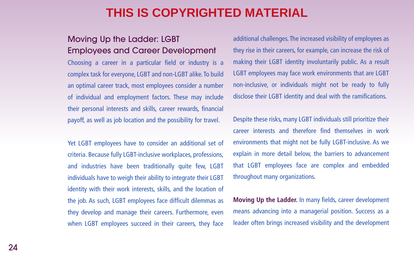#### Moving Up the Ladder: LGBT Employees and Career Development

Choosing a career in a particular field or industry is a complex task for everyone, LGBT and non-LGBT alike. To build an optimal career track, most employees consider a number of individual and employment factors. These may include their personal interests and skills, career rewards, financial payoff, as well as job location and the possibility for travel.

Yet LGBT employees have to consider an additional set of criteria. Because fully LGBT-inclusive workplaces, professions, and industries have been traditionally quite few, LGBT individuals have to weigh their ability to integrate their LGBT identity with their work interests, skills, and the location of the job. As such, LGBT employees face difficult dilemmas as they develop and manage their careers. Furthermore, even when LGBT employees succeed in their careers, they face

additional challenges. The increased visibility of employees as they rise in their careers, for example, can increase the risk of making their LGBT identity involuntarily public. As a result LGBT employees may face work environments that are LGBT non-inclusive, or individuals might not be ready to fully disclose their LGBT identity and deal with the ramifications.

Despite these risks, many LGBT individuals still prioritize their career interests and therefore find themselves in work environments that might not be fully LGBT-inclusive. As we explain in more detail below, the barriers to advancement that LGBT employees face are complex and embedded throughout many organizations.

**Moving Up the Ladder.** In many fields, career development means advancing into a managerial position. Success as a leader often brings increased visibility and the development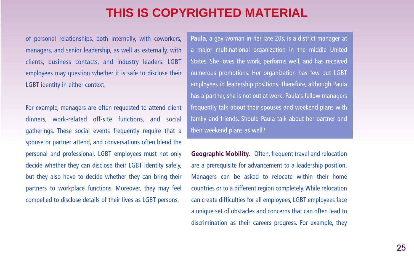of personal relationships, both internally, with coworkers, managers, and senior leadership, as well as externally, with clients, business contacts, and industry leaders. LGBT employees may question whether it is safe to disclose their LGBT identity in either context.

For example, managers are often requested to attend client dinners, work-related off-site functions, and social gatherings. These social events frequently require that a spouse or partner attend, and conversations often blend the personal and professional. LGBT employees must not only decide whether they can disclose their LGBT identity safely, but they also have to decide whether they can bring their partners to workplace functions. Moreover, they may feel compelled to disclose details of their lives as LGBT persons.

**Paula**, a gay woman in her late 20s, is a district manager at a major multinational organization in the middle United States. She loves the work, performs well, and has received numerous promotions. Her organization has few out LGBT employees in leadership positions. Therefore, although Paula has a partner, she is not out at work. Paula's fellow managers frequently talk about their spouses and weekend plans with family and friends. Should Paula talk about her partner and their weekend plans as well?

**Geographic Mobility.** Often, frequent travel and relocation are a prerequisite for advancement to a leadership position. Managers can be asked to relocate within their home countries or to a different region completely. While relocation can create difficulties for all employees, LGBT employees face a unique set of obstacles and concerns that can often lead to discrimination as their careers progress. For example, they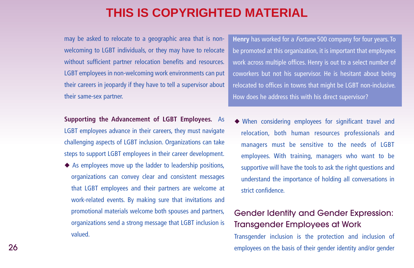may be asked to relocate to a geographic area that is nonwelcoming to LGBT individuals, or they may have to relocate without sufficient partner relocation benefits and resources. LGBT employees in non-welcoming work environments can put their careers in jeopardy if they have to tell a supervisor about their same-sex partner.

**Supporting the Advancement of LGBT Employees.** As LGBT employees advance in their careers, they must navigate challenging aspects of LGBT inclusion. Organizations can take steps to support LGBT employees in their career development.

◆ As employees move up the ladder to leadership positions, organizations can convey clear and consistent messages that LGBT employees and their partners are welcome at work-related events. By making sure that invitations and promotional materials welcome both spouses and partners, organizations send a strong message that LGBT inclusion is valued.

**Henry** has worked for a Fortune 500 company for four years. To be promoted at this organization, it is important that employees work across multiple offices. Henry is out to a select number of coworkers but not his supervisor. He is hesitant about being relocated to offices in towns that might be LGBT non-inclusive. How does he address this with his direct supervisor?

◆ When considering employees for significant travel and relocation, both human resources professionals and managers must be sensitive to the needs of LGBT employees. With training, managers who want to be supportive will have the tools to ask the right questions and understand the importance of holding all conversations in strict confidence.

#### Gender Identity and Gender Expression: Transgender Employees at Work

Transgender inclusion is the protection and inclusion of employees on the basis of their gender identity and/or gender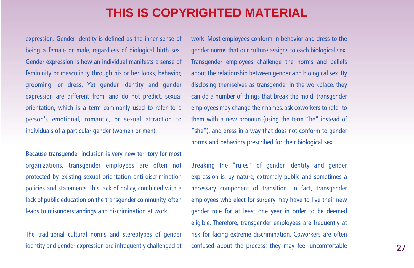expression. Gender identity is defined as the inner sense of being a female or male, regardless of biological birth sex. Gender expression is how an individual manifests a sense of femininity or masculinity through his or her looks, behavior, grooming, or dress. Yet gender identity and gender expression are different from, and do not predict, sexual orientation, which is a term commonly used to refer to a person's emotional, romantic, or sexual attraction to individuals of a particular gender (women or men).

Because transgender inclusion is very new territory for most organizations, transgender employees are often not protected by existing sexual orientation anti-discrimination policies and statements. This lack of policy, combined with a lack of public education on the transgender community, often leads to misunderstandings and discrimination at work.

The traditional cultural norms and stereotypes of gender identity and gender expression are infrequently challenged at work. Most employees conform in behavior and dress to the gender norms that our culture assigns to each biological sex. Transgender employees challenge the norms and beliefs about the relationship between gender and biological sex. By disclosing themselves as transgender in the workplace, they can do a number of things that break the mold: transgender employees may change their names, ask coworkers to refer to them with a new pronoun (using the term "he" instead of "she"), and dress in a way that does not conform to gender norms and behaviors prescribed for their biological sex.

Breaking the "rules" of gender identity and gender expression is, by nature, extremely public and sometimes a necessary component of transition. In fact, transgender employees who elect for surgery may have to live their new gender role for at least one year in order to be deemed eligible. Therefore, transgender employees are frequently at risk for facing extreme discrimination. Coworkers are often confused about the process; they may feel uncomfortable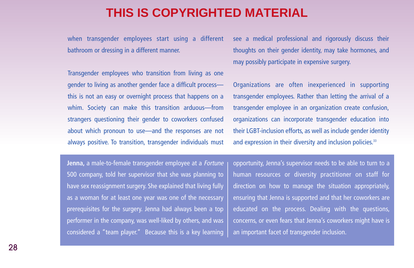when transgender employees start using a different bathroom or dressing in a different manner.

Transgender employees who transition from living as one gender to living as another gender face a difficult process this is not an easy or overnight process that happens on a whim. Society can make this transition arduous—from strangers questioning their gender to coworkers confused about which pronoun to use—and the responses are not always positive. To transition, transgender individuals must

see a medical professional and rigorously discuss their thoughts on their gender identity, may take hormones, and may possibly participate in expensive surgery.

Organizations are often inexperienced in supporting transgender employees. Rather than letting the arrival of a transgender employee in an organization create confusion, organizations can incorporate transgender education into their LGBT-inclusion efforts, as well as include gender identity and expression in their diversity and inclusion policies.<sup>33</sup>

**Jenna,** a male-to-female transgender employee at a Fortune 500 company, told her supervisor that she was planning to have sex reassignment surgery. She explained that living fully as a woman for at least one year was one of the necessary prerequisites for the surgery. Jenna had always been a top performer in the company, was well-liked by others, and was considered a "team player." Because this is a key learning

opportunity, Jenna's supervisor needs to be able to turn to a human resources or diversity practitioner on staff for direction on how to manage the situation appropriately, ensuring that Jenna is supported and that her coworkers are educated on the process. Dealing with the questions, concerns, or even fears that Jenna's coworkers might have is an important facet of transgender inclusion.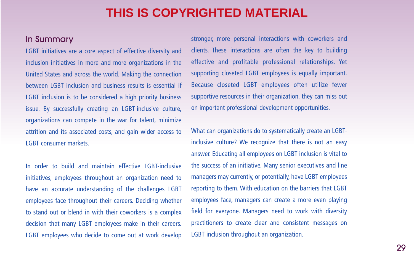#### In Summary

LGBT initiatives are a core aspect of effective diversity and inclusion initiatives in more and more organizations in the United States and across the world. Making the connection between LGBT inclusion and business results is essential if LGBT inclusion is to be considered a high priority business issue. By successfully creating an LGBT-inclusive culture, organizations can compete in the war for talent, minimize attrition and its associated costs, and gain wider access to LGBT consumer markets.

In order to build and maintain effective LGBT-inclusive initiatives, employees throughout an organization need to have an accurate understanding of the challenges LGBT employees face throughout their careers. Deciding whether to stand out or blend in with their coworkers is a complex decision that many LGBT employees make in their careers. LGBT employees who decide to come out at work develop

stronger, more personal interactions with coworkers and clients. These interactions are often the key to building effective and profitable professional relationships. Yet supporting closeted LGBT employees is equally important. Because closeted LGBT employees often utilize fewer supportive resources in their organization, they can miss out on important professional development opportunities.

What can organizations do to systematically create an LGBTinclusive culture? We recognize that there is not an easy answer. Educating all employees on LGBT inclusion is vital to the success of an initiative. Many senior executives and line managers may currently, or potentially, have LGBT employees reporting to them. With education on the barriers that LGBT employees face, managers can create a more even playing field for everyone. Managers need to work with diversity practitioners to create clear and consistent messages on LGBT inclusion throughout an organization.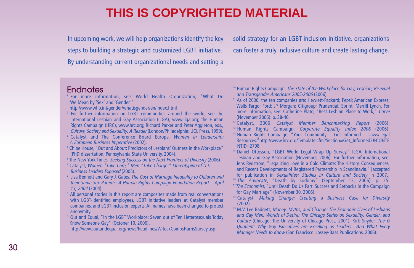In upcoming work, we will help organizations identify the key steps to building a strategic and customized LGBT initiative. By understanding current organizational needs and setting a

solid strategy for an LGBT-inclusion initiative, organizations can foster a truly inclusive culture and create lasting change.

#### **Endnotes**

- <sup>1</sup> For more information, see: World Health Organization, "What Do We Mean by 'Sex' and 'Gender.'"
- http://www.who.int/gender/whatisgender/en/index.html
- <sup>2</sup> For further information on LGBT communities around the world, see the International Lesbian and Gay Association (ILGA), www.ilga.org; the Human Rights Campaign (HRC), www.hrc.org; Richard Parker and Peter Aggleton, eds., Culture, Society and Sexuality: A Reader (London/Philadelphia: UCL Press, 1999).
- <sup>3</sup> Catalyst and The Conference Board Europe, Women in Leadership: A European Business Imperative (2002).
- <sup>4</sup> Chloe House, "Out and About: Predictors of Lesbians' Outness in the Workplace" (PhD dissertation, Pennsylvania State University, 2004).
- <sup>5</sup> The New York Times, Seeking Success on the Next Frontiers of Diversity (2006).
- <sup>6</sup> Catalyst, Women "Take Care," Men "Take Charge:" Stereotyping of U.S. Business Leaders Exposed (2005).
- <sup>7</sup> Lisa Bennett and Gary J. Gates, The Cost of Marriage Inequality to Children and their Same-Sex Parents: A Human Rights Campaign Foundation Report – April 13, 2004 (2004).
- <sup>8</sup> All personal stories in this report are composites made from real conversations with LGBT-identified employees, LGBT initiative leaders at Catalyst member companies, and LGBT-inclusion experts. All names have been changed to protect anonymity.
- <sup>9</sup> Out and Equal, "In the LGBT Workplace: Seven out of Ten Heterosexuals Today Know Someone Gay" (October 10, 2006).
- http://www.outandequal.org/news/headlines/WiteckCombsHarrisSurvey.asp
- <sup>10</sup> Human Rights Campaign, The State of the Workplace for Gay, Lesbian, Bisexual and Transgender Americans 2005-2006 (2006).
- <sup>11</sup> As of 2006, the ten companies are: Hewlett-Packard; Pepsi; American Express; Wells Fargo; Ford; JP Morgan; Citigroup; Prudential; Sprint; Merrill Lynch. For more information, see: Catherine Plato, "Best Lesbian Place to Work," Curve (November 2006): p. 38-40.
- <sup>12</sup> Catalyst, 2006 Catalyst Member Benchmarking Report (2006). <sup>13</sup> Human Rights Campaign, Corporate Equality Index 2006 (2006).
- <sup>14</sup> Human Rights Campaign, "Your Community Get Informed Laws/Legal Resources."http://www.hrc.org/Template.cfm?Section=Get\_Informed3&CONTE  $NTID = 2798$
- <sup>15</sup> Daniel Ottosson, "LGBT World Legal Wrap Up Survey," ILGA, International Lesbian and Gay Association (November, 2006). For further information, see: Jens Rydström, "Legalizing Love in a Cold Climate: The History, Consequences, and Recent Developments of Registered Partnership in Scandinavia." [accepted for publication in Sexualities: Studies in Culture and Society in 2007.] <sup>16</sup> The Advocate, "Death by Sodomy" (September 12, 2006): p. 25.
- $17$ The Economist, "Until Death Do Us Part: Success and Setbacks in the Campaign for Gay Marriage" (November 30, 2006).
- <sup>18</sup> Catalyst, Making Change: Creating a Business Case for Diversity (2002).
- <sup>19</sup> M.V. Lee Badgett, Money, Myths, and Change: The Economic Lives of Lesbians and Gay Men; Worlds of Desire: The Chicago Series on Sexuality, Gender, and Culture (Chicago: The University of Chicago Press, 2001); Kirk Snyder, The G Quotient: Why Gay Executives are Excelling as Leaders…And What Every Manager Needs to Know (San Francisco: Jossey-Bass Publications, 2006).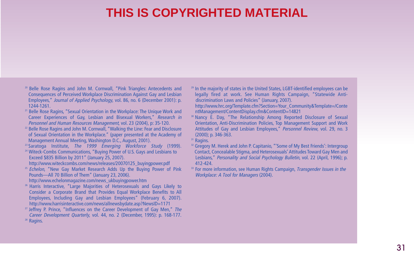- <sup>20</sup> Belle Rose Ragins and John M. Cornwall, "Pink Triangles: Antecedents and Consequences of Perceived Workplace Discrimination Against Gay and Lesbian Employees," Journal of Applied Psychology, vol. 86, no. 6 (December 2001): p. 1244-1261.
- <sup>21</sup> Belle Rose Ragins, "Sexual Orientation in the Workplace: The Unique Work and Career Experiences of Gay, Lesbian and Bisexual Workers," Research in Personnel and Human Resources Management, vol. 23 (2004), p: 35-120.
- <sup>22</sup> Belle Rose Ragins and John M. Cornwall, "Walking the Line: Fear and Disclosure of Sexual Orientation in the Workplace." (paper presented at the Academy of Management Annual Meeting, Washington D.C., August, 2001).
- <sup>23</sup> Saratoga Institute, The 1999 Emerging Workforce Study (1999).
- <sup>24</sup> Witeck-Combs Communications, "Buying Power of U.S. Gays and Lesbians to Exceed \$835 Billion by 2011" (January 25, 2007).
- http://www.witeckcombs.com/news/releases/20070125\_buyingpower.pdf
- <sup>25</sup> Echelon, "New Gay Market Research Adds Up the Buying Power of Pink Pounds—All 70 Billion of Them" (January 23, 2006).
- http://www.echelonmagazine.com/news\_ukbuyingpower.htm
- <sup>26</sup> Harris Interactive, "Large Majorities of Heterosexuals and Gays Likely to Consider a Corporate Brand that Provides Equal Workplace Benefits to All Employees, Including Gay and Lesbian Employees" (February 6, 2007). http://www.harrisinteractive.com/news/allnewsbydate.asp?NewsID=1171
- $27$  Jeffrey P. Prince, "Influences on the Career Development of Gay Men," The Career Development Quarterly, vol. 44, no. 2 (December, 1995): p. 168-177. <sup>28</sup> Ragins.
- <sup>29</sup> In the majority of states in the United States, LGBT-identified employees can be legally fired at work. See Human Rights Campaign, "Statewide Antidiscrimination Laws and Policies" (January, 2007).
- http://www.hrc.org/Template.cfm?Section=Your\_Community&Template=/Conte ntManagement/ContentDisplay.cfm&ContentID=14821
- <sup>30</sup> Nancy E. Day, "The Relationship Among Reported Disclosure of Sexual Orientation, Anti-Discrimination Policies, Top Management Support and Work Attitudes of Gay and Lesbian Employees," Personnel Review, vol. 29, no. 3 (2000); p. 346-363.
- <sup>31</sup> Ragins.
- <sup>32</sup> Gregory M. Herek and John P. Capitanio, "'Some of My Best Friends': Intergroup Contact, Concealable Stigma, and Heterosexuals' Attitudes Toward Gay Men and Lesbians," Personality and Social Psychology Bulletin, vol. 22 (April, 1996); p. 412-424.
- <sup>33</sup> For more information, see Human Rights Campaign, *Transgender Issues in the* Workplace: A Tool for Managers (2004).